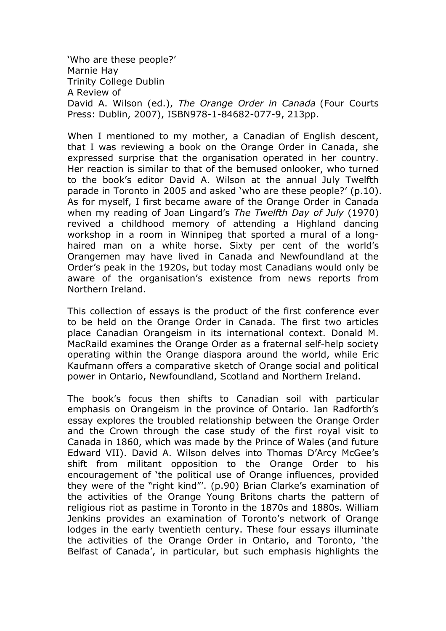'Who are these people?' Marnie Hay Trinity College Dublin A Review of David A. Wilson (ed.), The Orange Order in Canada (Four Courts Press: Dublin, 2007), ISBN978-1-84682-077-9, 213pp.

When I mentioned to my mother, a Canadian of English descent, that I was reviewing a book on the Orange Order in Canada, she expressed surprise that the organisation operated in her country. Her reaction is similar to that of the bemused onlooker, who turned to the book's editor David A. Wilson at the annual July Twelfth parade in Toronto in 2005 and asked 'who are these people?' (p.10). As for myself, I first became aware of the Orange Order in Canada when my reading of Joan Lingard's The Twelfth Day of July (1970) revived a childhood memory of attending a Highland dancing workshop in a room in Winnipeg that sported a mural of a longhaired man on a white horse. Sixty per cent of the world's Orangemen may have lived in Canada and Newfoundland at the Order's peak in the 1920s, but today most Canadians would only be aware of the organisation's existence from news reports from Northern Ireland.

This collection of essays is the product of the first conference ever to be held on the Orange Order in Canada. The first two articles place Canadian Orangeism in its international context. Donald M. MacRaild examines the Orange Order as a fraternal self-help society operating within the Orange diaspora around the world, while Eric Kaufmann offers a comparative sketch of Orange social and political power in Ontario, Newfoundland, Scotland and Northern Ireland.

The book's focus then shifts to Canadian soil with particular emphasis on Orangeism in the province of Ontario. Ian Radforth's essay explores the troubled relationship between the Orange Order and the Crown through the case study of the first royal visit to Canada in 1860, which was made by the Prince of Wales (and future Edward VII). David A. Wilson delves into Thomas D'Arcy McGee's shift from militant opposition to the Orange Order to his encouragement of 'the political use of Orange influences, provided they were of the "right kind"'. (p.90) Brian Clarke's examination of the activities of the Orange Young Britons charts the pattern of religious riot as pastime in Toronto in the 1870s and 1880s. William Jenkins provides an examination of Toronto's network of Orange lodges in the early twentieth century. These four essays illuminate the activities of the Orange Order in Ontario, and Toronto, 'the Belfast of Canada', in particular, but such emphasis highlights the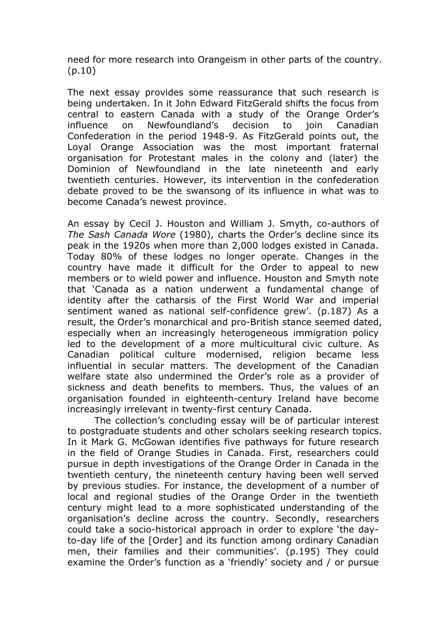need for more research into Orangeism in other parts of the country. (p.10)

The next essay provides some reassurance that such research is being undertaken. In it John Edward FitzGerald shifts the focus from central to eastern Canada with a study of the Orange Order's influence on Newfoundland's decision to join Canadian Confederation in the period 1948-9. As FitzGerald points out, the Loyal Orange Association was the most important fraternal organisation for Protestant males in the colony and (later) the Dominion of Newfoundland in the late nineteenth and early twentieth centuries. However, its intervention in the confederation debate proved to be the swansong of its influence in what was to become Canada's newest province.

An essay by Cecil J. Houston and William J. Smyth, co-authors of The Sash Canada Wore (1980), charts the Order's decline since its peak in the 1920s when more than 2,000 lodges existed in Canada. Today 80% of these lodges no longer operate. Changes in the country have made it difficult for the Order to appeal to new members or to wield power and influence. Houston and Smyth note that 'Canada as a nation underwent a fundamental change of identity after the catharsis of the First World War and imperial sentiment waned as national self-confidence grew'. (p.187) As a result, the Order's monarchical and pro-British stance seemed dated, especially when an increasingly heterogeneous immigration policy led to the development of a more multicultural civic culture. As Canadian political culture modernised, religion became less influential in secular matters. The development of the Canadian welfare state also undermined the Order's role as a provider of sickness and death benefits to members. Thus, the values of an organisation founded in eighteenth-century Ireland have become increasingly irrelevant in twenty-first century Canada.

The collection's concluding essay will be of particular interest to postgraduate students and other scholars seeking research topics. In it Mark G. McGowan identifies five pathways for future research in the field of Orange Studies in Canada. First, researchers could pursue in depth investigations of the Orange Order in Canada in the twentieth century, the nineteenth century having been well served by previous studies. For instance, the development of a number of local and regional studies of the Orange Order in the twentieth century might lead to a more sophisticated understanding of the organisation's decline across the country. Secondly, researchers could take a socio-historical approach in order to explore 'the dayto-day life of the [Order] and its function among ordinary Canadian men, their families and their communities'. (p.195) They could examine the Order's function as a 'friendly' society and / or pursue